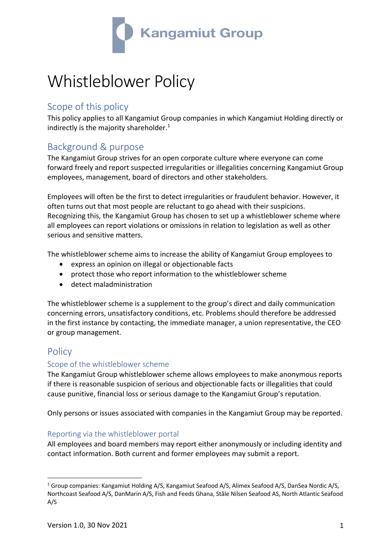

# Whistleblower Policy

## Scope of this policy

This policy applies to all Kangamiut Group companies in which Kangamiut Holding directly or indirectly is the majority shareholder.<sup>1</sup>

# Background & purpose

The Kangamiut Group strives for an open corporate culture where everyone can come forward freely and report suspected irregularities or illegalities concerning Kangamiut Group employees, management, board of directors and other stakeholders.

Employees will often be the first to detect irregularities or fraudulent behavior. However, it often turns out that most people are reluctant to go ahead with their suspicions. Recognizing this, the Kangamiut Group has chosen to set up a whistleblower scheme where all employees can report violations or omissions in relation to legislation as well as other serious and sensitive matters.

The whistleblower scheme aims to increase the ability of Kangamiut Group employees to

- express an opinion on illegal or objectionable facts
- protect those who report information to the whistleblower scheme
- detect maladministration

The whistleblower scheme is a supplement to the group's direct and daily communication concerning errors, unsatisfactory conditions, etc. Problems should therefore be addressed in the first instance by contacting, the immediate manager, a union representative, the CEO or group management.

## **Policy**

#### Scope of the whistleblower scheme

The Kangamiut Group whistleblower scheme allows employees to make anonymous reports if there is reasonable suspicion of serious and objectionable facts or illegalities that could cause punitive, financial loss or serious damage to the Kangamiut Group's reputation.

Only persons or issues associated with companies in the Kangamiut Group may be reported.

#### Reporting via the whistleblower portal

All employees and board members may report either anonymously or including identity and contact information. Both current and former employees may submit a report.

<sup>1</sup> Group companies: Kangamiut Holding A/S, Kangamiut Seafood A/S, Alimex Seafood A/S, DanSea Nordic A/S, Northcoast Seafood A/S, DanMarin A/S, Fish and Feeds Ghana, Ståle Nilsen Seafood AS, North Atlantic Seafood A/S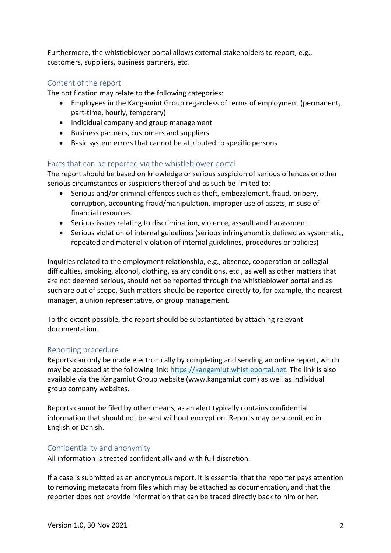Furthermore, the whistleblower portal allows external stakeholders to report, e.g., customers, suppliers, business partners, etc.

#### Content of the report

The notification may relate to the following categories:

- Employees in the Kangamiut Group regardless of terms of employment (permanent, part-time, hourly, temporary)
- Indicidual company and group management
- Business partners, customers and suppliers
- Basic system errors that cannot be attributed to specific persons

#### Facts that can be reported via the whistleblower portal

The report should be based on knowledge or serious suspicion of serious offences or other serious circumstances or suspicions thereof and as such be limited to:

- Serious and/or criminal offences such as theft, embezzlement, fraud, bribery, corruption, accounting fraud/manipulation, improper use of assets, misuse of financial resources
- Serious issues relating to discrimination, violence, assault and harassment
- Serious violation of internal guidelines (serious infringement is defined as systematic, repeated and material violation of internal guidelines, procedures or policies)

Inquiries related to the employment relationship, e.g., absence, cooperation or collegial difficulties, smoking, alcohol, clothing, salary conditions, etc., as well as other matters that are not deemed serious, should not be reported through the whistleblower portal and as such are out of scope. Such matters should be reported directly to, for example, the nearest manager, a union representative, or group management.

To the extent possible, the report should be substantiated by attaching relevant documentation.

#### Reporting procedure

Reports can only be made electronically by completing and sending an online report, which may be accessed at the following link: https://kangamiut.whistleportal.net. The link is also available via the Kangamiut Group website (www.kangamiut.com) as well as individual group company websites.

Reports cannot be filed by other means, as an alert typically contains confidential information that should not be sent without encryption. Reports may be submitted in English or Danish.

#### Confidentiality and anonymity

All information is treated confidentially and with full discretion.

If a case is submitted as an anonymous report, it is essential that the reporter pays attention to removing metadata from files which may be attached as documentation, and that the reporter does not provide information that can be traced directly back to him or her.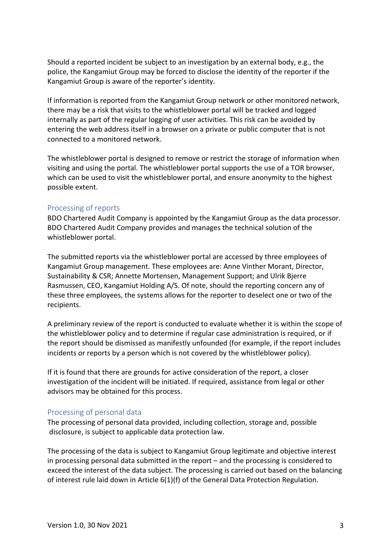Should a reported incident be subject to an investigation by an external body, e.g., the police, the Kangamiut Group may be forced to disclose the identity of the reporter if the Kangamiut Group is aware of the reporter's identity.

If information is reported from the Kangamiut Group network or other monitored network, there may be a risk that visits to the whistleblower portal will be tracked and logged internally as part of the regular logging of user activities. This risk can be avoided by entering the web address itself in a browser on a private or public computer that is not connected to a monitored network.

The whistleblower portal is designed to remove or restrict the storage of information when visiting and using the portal. The whistleblower portal supports the use of a TOR browser, which can be used to visit the whistleblower portal, and ensure anonymity to the highest possible extent.

#### Processing of reports

BDO Chartered Audit Company is appointed by the Kangamiut Group as the data processor. BDO Chartered Audit Company provides and manages the technical solution of the whistleblower portal.

The submitted reports via the whistleblower portal are accessed by three employees of Kangamiut Group management. These employees are: Anne Vinther Morant, Director, Sustainability & CSR; Annette Mortensen, Management Support; and Ulrik Bjerre Rasmussen, CEO, Kangamiut Holding A/S. Of note, should the reporting concern any of these three employees, the systems allows for the reporter to deselect one or two of the recipients.

A preliminary review of the report is conducted to evaluate whether it is within the scope of the whistleblower policy and to determine if regular case administration is required, or if the report should be dismissed as manifestly unfounded (for example, if the report includes incidents or reports by a person which is not covered by the whistleblower policy).

If it is found that there are grounds for active consideration of the report, a closer investigation of the incident will be initiated. If required, assistance from legal or other advisors may be obtained for this process.

#### Processing of personal data

The processing of personal data provided, including collection, storage and, possible disclosure, is subject to applicable data protection law.

The processing of the data is subject to Kangamiut Group legitimate and objective interest in processing personal data submitted in the report – and the processing is considered to exceed the interest of the data subject. The processing is carried out based on the balancing of interest rule laid down in Article 6(1)(f) of the General Data Protection Regulation.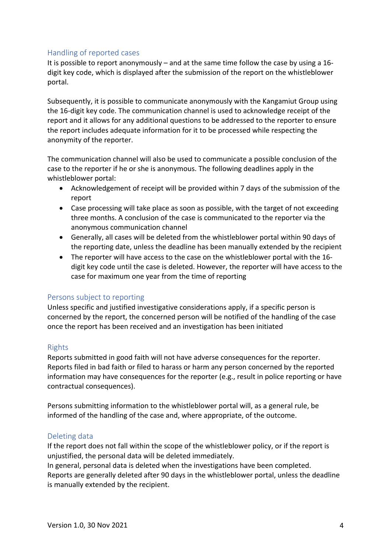#### Handling of reported cases

It is possible to report anonymously – and at the same time follow the case by using a 16 digit key code, which is displayed after the submission of the report on the whistleblower portal.

Subsequently, it is possible to communicate anonymously with the Kangamiut Group using the 16-digit key code. The communication channel is used to acknowledge receipt of the report and it allows for any additional questions to be addressed to the reporter to ensure the report includes adequate information for it to be processed while respecting the anonymity of the reporter.

The communication channel will also be used to communicate a possible conclusion of the case to the reporter if he or she is anonymous. The following deadlines apply in the whistleblower portal:

- Acknowledgement of receipt will be provided within 7 days of the submission of the report
- Case processing will take place as soon as possible, with the target of not exceeding three months. A conclusion of the case is communicated to the reporter via the anonymous communication channel
- Generally, all cases will be deleted from the whistleblower portal within 90 days of the reporting date, unless the deadline has been manually extended by the recipient
- The reporter will have access to the case on the whistleblower portal with the 16 digit key code until the case is deleted. However, the reporter will have access to the case for maximum one year from the time of reporting

#### Persons subject to reporting

Unless specific and justified investigative considerations apply, if a specific person is concerned by the report, the concerned person will be notified of the handling of the case once the report has been received and an investigation has been initiated

#### Rights

Reports submitted in good faith will not have adverse consequences for the reporter. Reports filed in bad faith or filed to harass or harm any person concerned by the reported information may have consequences for the reporter (e.g., result in police reporting or have contractual consequences).

Persons submitting information to the whistleblower portal will, as a general rule, be informed of the handling of the case and, where appropriate, of the outcome.

#### Deleting data

If the report does not fall within the scope of the whistleblower policy, or if the report is unjustified, the personal data will be deleted immediately.

In general, personal data is deleted when the investigations have been completed. Reports are generally deleted after 90 days in the whistleblower portal, unless the deadline is manually extended by the recipient.